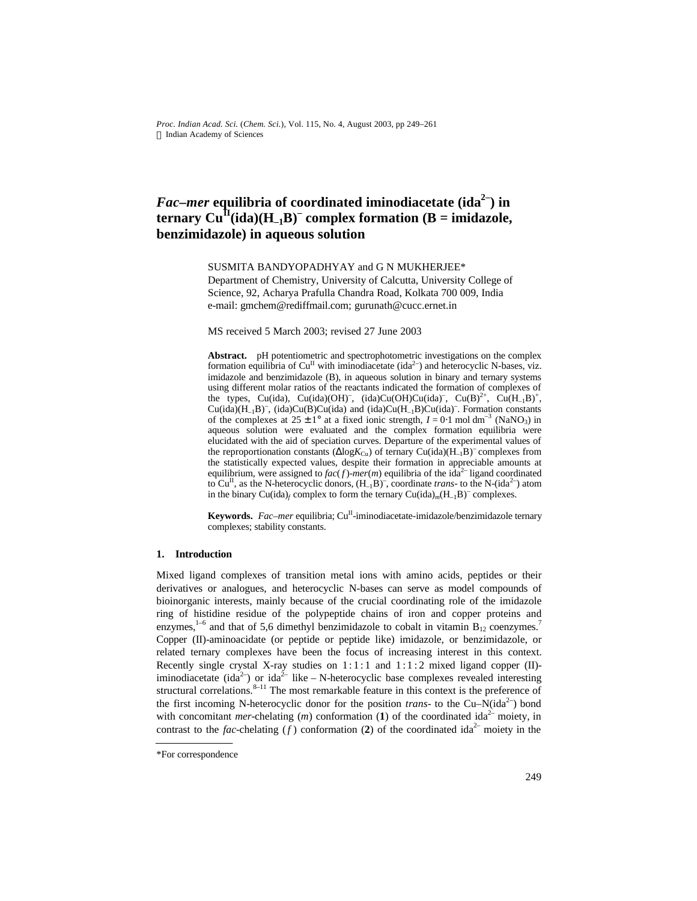*Proc. Indian Acad. Sci.* (*Chem. Sci.*), Vol. 115, No. 4, August 2003, pp 249–261  $©$  Indian Academy of Sciences

# *Fac–mer* **equilibria of coordinated iminodiacetate (ida2– ) in ternary**  $\text{Cu}^{\text{II}}(\text{ida})(\text{H}_{-1}\text{B})$ <sup>-</sup> complex formation (B = imidazole, **benzimidazole) in aqueous solution**

SUSMITA BANDYOPADHYAY and G N MUKHERJEE\*

Department of Chemistry, University of Calcutta, University College of Science, 92, Acharya Prafulla Chandra Road, Kolkata 700 009, India e-mail: gmchem@rediffmail.com; gurunath@cucc.ernet.in

MS received 5 March 2003; revised 27 June 2003

**Abstract.** pH potentiometric and spectrophotometric investigations on the complex formation equilibria of Cu<sup>II</sup> with iminodiacetate (ida<sup>2-</sup>) and heterocyclic N-bases, viz. imidazole and benzimidazole (B), in aqueous solution in binary and ternary systems using different molar ratios of the reactants indicated the formation of complexes of the types, Cu(ida), Cu(ida)(OH)<sup>-</sup>, (ida)Cu(OH)Cu(ida)<sup>-</sup>, Cu(B)<sup>2+</sup>, Cu(H<sub>-1</sub>B)<sup>+</sup>,  $Cu(ida)(H<sub>-1</sub>B)<sup>-</sup>$ ,  $(ida)Cu(B)Cu(ida)$  and  $(ida)Cu(H<sub>-1</sub>B)Cu(ida)<sup>-</sup>$ . Formation constants of the complexes at  $25 \pm 1^{\circ}$  at a fixed ionic strength,  $I = 0.1$  mol dm<sup>-3</sup> (NaNO<sub>3</sub>) in aqueous solution were evaluated and the complex formation equilibria were elucidated with the aid of speciation curves. Departure of the experimental values of the reproportionation constants ( $\Delta$ log*K*<sub>Cu</sub>) of ternary Cu(ida)(H<sub>-1</sub>B)<sup>-</sup> complexes from the statistically expected values, despite their formation in appreciable amounts at equilibrium, were assigned to  $fac(f)$ -mer $(m)$  equilibria of the ida<sup>2–</sup> ligand coordinated to Cu<sup>II</sup>, as the N-heterocyclic donors,  $(H_{-1}B)^{-}$ , coordinate *trans*- to the N-(ida<sup>2-</sup>) atom in the binary Cu(ida)<sub>f</sub> complex to form the ternary Cu(ida)<sub>m</sub>(H<sub>-1</sub>B)<sup>-</sup> complexes.

**Keywords.** Fac-mer equilibria; Cu<sup>II</sup>-iminodiacetate-imidazole/benzimidazole ternary complexes; stability constants.

### **1. Introduction**

Mixed ligand complexes of transition metal ions with amino acids, peptides or their derivatives or analogues, and heterocyclic N-bases can serve as model compounds of bioinorganic interests, mainly because of the crucial coordinating role of the imidazole ring of histidine residue of the polypeptide chains of iron and copper proteins and enzymes,<sup>1-6</sup> and that of 5,6 dimethyl benzimidazole to cobalt in vitamin  $B_{12}$  coenzymes.<sup>7</sup> Copper (II)-aminoacidate (or peptide or peptide like) imidazole, or benzimidazole, or related ternary complexes have been the focus of increasing interest in this context. Recently single crystal X-ray studies on 1:1:1 and 1:1:2 mixed ligand copper (II)iminodiacetate (ida<sup>2-</sup>) or ida<sup>2-</sup> like - N-heterocyclic base complexes revealed interesting structural correlations. $8-11$  The most remarkable feature in this context is the preference of the first incoming N-heterocyclic donor for the position *trans*- to the Cu–N(ida<sup>2-</sup>) bond with concomitant *mer*-chelating  $(m)$  conformation (1) of the coordinated ida<sup>2-</sup> moiety, in contrast to the *fac*-chelating  $(f)$  conformation (2) of the coordinated ida<sup>2–</sup> moiety in the

<sup>\*</sup>For correspondence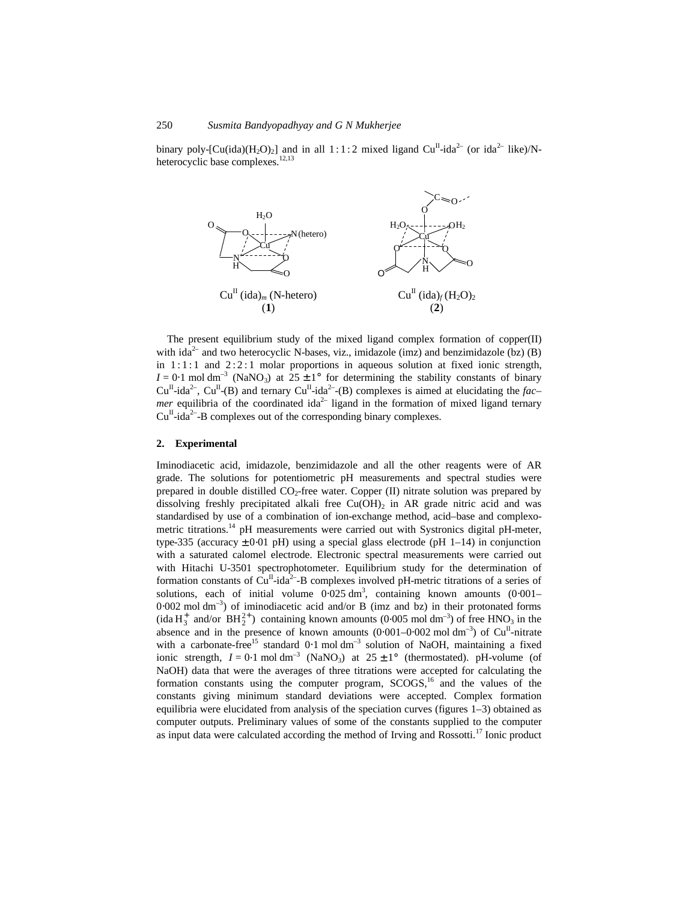binary poly-[Cu(ida)(H<sub>2</sub>O)<sub>2</sub>] and in all 1:1:2 mixed ligand Cu<sup>II</sup>-ida<sup>2-</sup> (or ida<sup>2-</sup> like)/Nheterocyclic base complexes.<sup>12,13</sup>



The present equilibrium study of the mixed ligand complex formation of copper(II) with ida<sup>2–</sup> and two heterocyclic N-bases, viz., imidazole (imz) and benzimidazole (bz) (B) in  $1:1:1$  and  $2:2:1$  molar proportions in aqueous solution at fixed ionic strength,  $I = 0.1$  mol dm<sup>-3</sup> (NaNO<sub>3</sub>) at  $25 \pm 1$ ° for determining the stability constants of binary  $Cu^{II}$ -ida<sup>2-</sup>,  $Cu^{II}$ -(B) and ternary  $Cu^{II}$ -ida<sup>2-</sup>-(B) complexes is aimed at elucidating the *facmer* equilibria of the coordinated ida<sup>2-</sup> ligand in the formation of mixed ligand ternary  $Cu<sup>H</sup>$ -ida<sup>2–</sup>-B complexes out of the corresponding binary complexes.

#### **2. Experimental**

Iminodiacetic acid, imidazole, benzimidazole and all the other reagents were of AR grade. The solutions for potentiometric pH measurements and spectral studies were prepared in double distilled  $CO<sub>2</sub>$ -free water. Copper (II) nitrate solution was prepared by dissolving freshly precipitated alkali free  $Cu(OH)_2$  in AR grade nitric acid and was standardised by use of a combination of ion-exchange method, acid–base and complexometric titrations.<sup>14</sup> pH measurements were carried out with Systronics digital pH-meter, type-335 (accuracy  $\pm 0.01$  pH) using a special glass electrode (pH 1–14) in conjunction with a saturated calomel electrode. Electronic spectral measurements were carried out with Hitachi U-3501 spectrophotometer. Equilibrium study for the determination of formation constants of  $Cu<sup>H</sup>$ -ida<sup>2–</sup>-B complexes involved pH-metric titrations of a series of solutions, each of initial volume  $0.025 \text{ dm}^3$ , containing known amounts  $(0.001 -$ 0.002 mol dm<sup>-3</sup>) of iminodiacetic acid and/or B (imz and bz) in their protonated forms (ida  $H_3^+$  and/or  $BH_2^{2+}$ ) containing known amounts (0⋅005 mol dm<sup>-3</sup>) of free HNO<sub>3</sub> in the absence and in the presence of known amounts  $(0.001-0.002 \text{ mol dm}^{-3})$  of Cu<sup>II</sup>-nitrate with a carbonate-free<sup>15</sup> standard 0.1 mol dm<sup>-3</sup> solution of NaOH, maintaining a fixed ionic strength,  $I = 0.1$  mol dm<sup>-3</sup> (NaNO<sub>3</sub>) at  $25 \pm 1$ ° (thermostated). pH-volume (of NaOH) data that were the averages of three titrations were accepted for calculating the formation constants using the computer program,  $SCOGS<sub>16</sub>$  and the values of the constants giving minimum standard deviations were accepted. Complex formation equilibria were elucidated from analysis of the speciation curves (figures 1–3) obtained as computer outputs. Preliminary values of some of the constants supplied to the computer as input data were calculated according the method of Irving and Rossotti. $^{17}$  Ionic product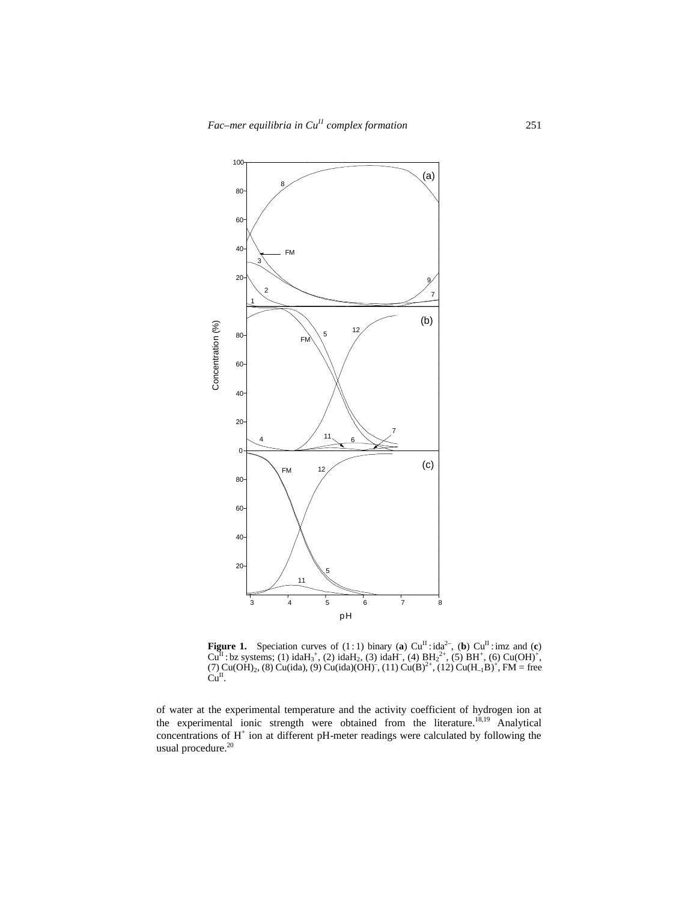

**Figure 1.** Speciation curves of (1:1) binary (a)  $Cu^{II}$ : ida<sup>2–</sup>, (b)  $Cu^{II}$ : imz and (c)  $Cu<sup>H</sup>$  : bz systems; (1) idaH<sub>3</sub><sup>+</sup>, (2) idaH<sub>2</sub>, (3) idaH<sup>-</sup>, (4)  $BH<sub>2</sub><sup>2+</sup>$ , (5) BH<sup>+</sup>, (6) Cu(OH)<sup>+</sup>, (7)  $Cu(OH)_2$ , (8)  $Cu(ida)$ , (9)  $Cu(ida)(OH)^{-}$ , (11)  $Cu(B)^{2+}$ , (12)  $Cu(H_{-1}B)^{+}$ , FM = free  $Cu<sup>II</sup>$ .

of water at the experimental temperature and the activity coefficient of hydrogen ion at the experimental ionic strength were obtained from the literature.18,19 Analytical concentrations of H<sup>+</sup> ion at different pH-meter readings were calculated by following the usual procedure.<sup>20</sup>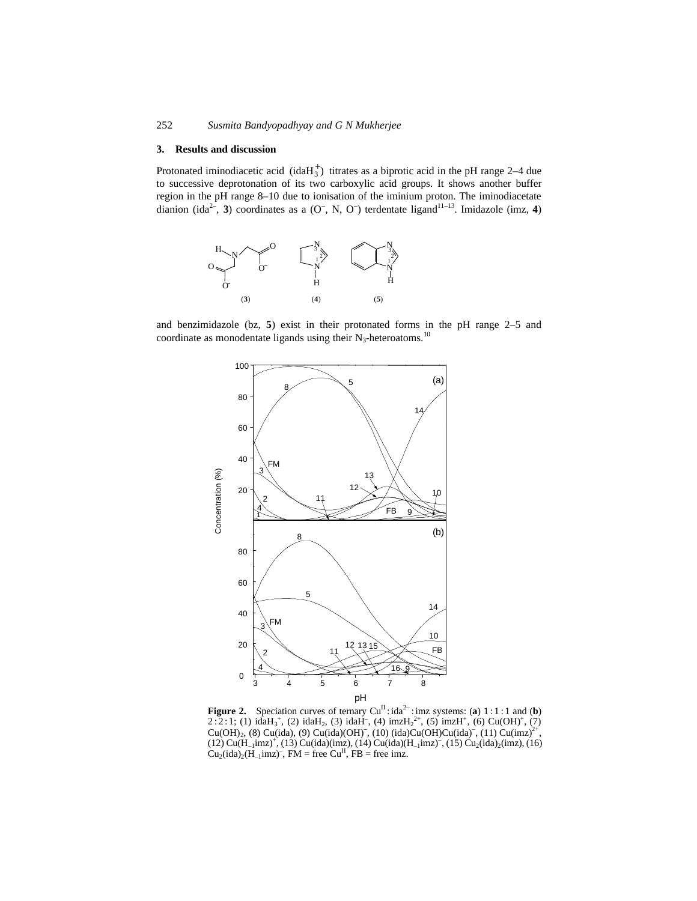### **3. Results and discussion**

Protonated iminodiacetic acid (ida $H_3^+$ ) titrates as a biprotic acid in the pH range 2–4 due to successive deprotonation of its two carboxylic acid groups. It shows another buffer region in the pH range 8–10 due to ionisation of the iminium proton. The iminodiacetate dianion (ida<sup>2–</sup>, 3) coordinates as a  $(O^-, N, O^-)$  terdentate ligand<sup>11–13</sup>. Imidazole (imz, 4)



and benzimidazole (bz, **5**) exist in their protonated forms in the pH range 2–5 and coordinate as monodentate ligands using their  $N_3$ -heteroatoms.<sup>10</sup>



**Figure 2.** Speciation curves of ternary  $Cu^{II}$ : ida<sup>2-</sup>: imz systems: (a) 1:1:1 and (b)  $2:2:1$ ; (1) idaH<sub>3</sub><sup>+</sup>, (2) idaH<sub>2</sub>, (3) idaH<sup>-</sup>, (4) imzH<sub>2</sub><sup>2+</sup>, (5) imzH<sup>+</sup>, (6) Cu(OH)<sup>+</sup>, (7)  $Cu(OH)_2$ , (8)  $Cu(ida)$ , (9)  $Cu(ida)(OH)^{-}$ , (10)  $(ida)Cu(OH)Cu(ida)^{-}$ , (11)  $Cu(imz)^{2+}$ ,  $(12)$  Cu( $H_{-1}$ imz)<sup>+</sup>,  $(13)$  Cu(ida)(imz),  $(14)$  Cu(ida)( $H_{-1}$ imz)<sup>-</sup>,  $(15)$  Cu<sub>2</sub>(ida)<sub>2</sub>(imz),  $(16)$  $Cu_2(ida)_2(H_{-1}imz)$ , FM = free Cu<sup>II</sup>, FB = free imz.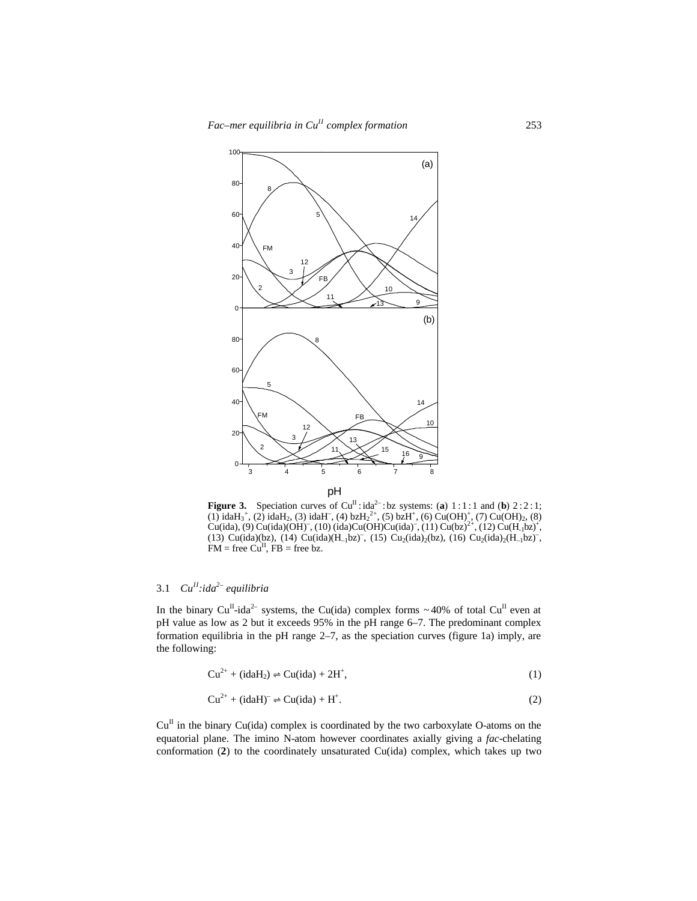

**Figure 3.** Speciation curves of  $Cu^{II}$ :  $ida^{2}$ : bz systems: (a)  $1:1:1$  and (b)  $2:2:1$ ; (1) idaH<sub>3</sub><sup>+</sup>, (2) idaH<sub>2</sub>, (3) idaH<sup>-</sup>, (4) bzH<sub>2</sub><sup>2+</sup>, (5) bzH<sup>+</sup>, (6) Cu(OH)<sup>+</sup>, (7) Cu(OH)<sub>2</sub>, (8) Cu(ida), (9) Cu(ida)(OH)<sup>-</sup>, (10) (ida)Cu(OH)Cu(ida)<sup>-</sup>, (11) Cu(bz)<sup>2+</sup>, (12) Cu(H<sub>-1</sub>bz)<sup>+</sup>, (13) Cu(ida)(bz), (14) Cu(ida)(H<sub>-1</sub>bz), (15) Cu<sub>2</sub>(ida)<sub>2</sub>(bz), (16) Cu<sub>2</sub>(ida)<sub>2</sub>(H<sub>-1</sub>bz),  $FM = free Cu<sup>H</sup>, FB = free bz.$ 

### 3.1 *CuII:ida2– equilibria*

In the binary Cu<sup>II</sup>-ida<sup>2–</sup> systems, the Cu(ida) complex forms ~40% of total Cu<sup>II</sup> even at pH value as low as 2 but it exceeds 95% in the pH range 6–7. The predominant complex formation equilibria in the pH range 2–7, as the speciation curves (figure 1a) imply, are the following:

$$
Cu^{2+} + (\text{idal}_2) \rightleftharpoons Cu(\text{ida}) + 2H^+, \tag{1}
$$

$$
Cu^{2+} + (\text{idal})^- \rightleftharpoons Cu(\text{ida}) + H^+. \tag{2}
$$

 $Cu<sup>H</sup>$  in the binary Cu(ida) complex is coordinated by the two carboxylate O-atoms on the equatorial plane. The imino N-atom however coordinates axially giving a *fac*-chelating conformation (**2**) to the coordinately unsaturated Cu(ida) complex, which takes up two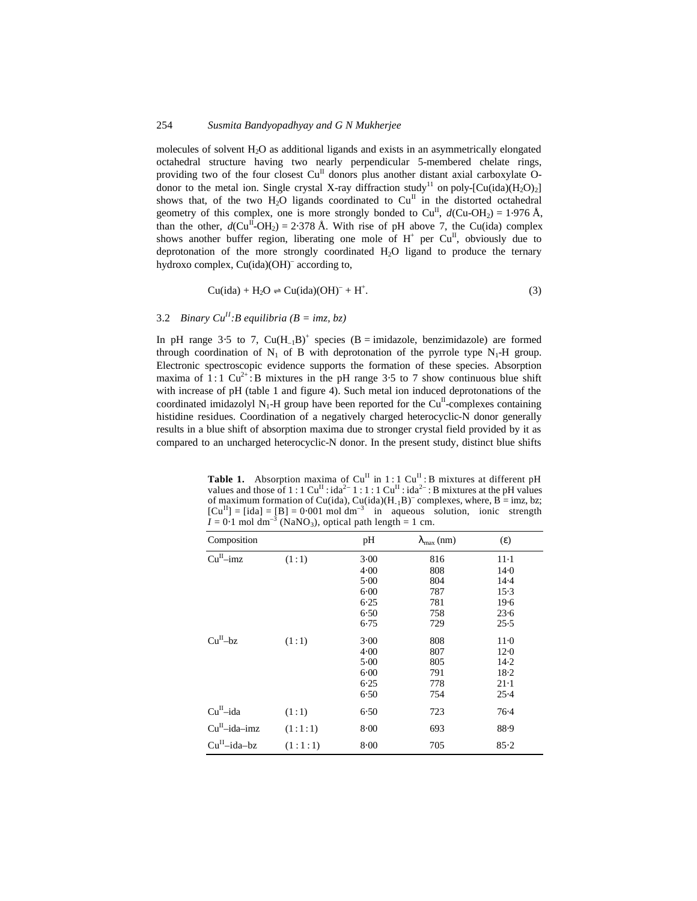molecules of solvent H2O as additional ligands and exists in an asymmetrically elongated octahedral structure having two nearly perpendicular 5-membered chelate rings, providing two of the four closest  $Cu<sup>H</sup>$  donors plus another distant axial carboxylate Odonor to the metal ion. Single crystal X-ray diffraction study<sup>11</sup> on poly-[Cu(ida)(H<sub>2</sub>O)<sub>2</sub>] shows that, of the two  $H_2O$  ligands coordinated to  $Cu<sup>H</sup>$  in the distorted octahedral geometry of this complex, one is more strongly bonded to  $Cu<sup>H</sup>$ ,  $d$ (Cu-OH<sub>2</sub>) = 1⋅976 Å, than the other,  $d$ (Cu<sup>II</sup>-OH<sub>2</sub>) = 2⋅378 Å. With rise of pH above 7, the Cu(ida) complex shows another buffer region, liberating one mole of  $H^+$  per Cu<sup>II</sup>, obviously due to deprotonation of the more strongly coordinated  $H<sub>2</sub>O$  ligand to produce the ternary hydroxo complex, Cu(ida)(OH)– according to,

$$
Cu(ida) + H2O \rightleftharpoons Cu(ida)(OH)- + H+.
$$
\n(3)

### 3.2 *Binary Cu*<sup>*II</sup>*:*B equilibria* ( $B = imz, bz$ )</sup>

In pH range 3⋅5 to 7,  $Cu(H_{-1}B)^+$  species (B = imidazole, benzimidazole) are formed through coordination of  $N_1$  of B with deprotonation of the pyrrole type  $N_1$ -H group. Electronic spectroscopic evidence supports the formation of these species. Absorption maxima of 1:1  $Cu^{2+}$ : B mixtures in the pH range 3.5 to 7 show continuous blue shift with increase of pH (table 1 and figure 4). Such metal ion induced deprotonations of the coordinated imidazolyl  $N_1$ -H group have been reported for the Cu<sup>II</sup>-complexes containing histidine residues. Coordination of a negatively charged heterocyclic-N donor generally results in a blue shift of absorption maxima due to stronger crystal field provided by it as compared to an uncharged heterocyclic-N donor. In the present study, distinct blue shifts

**Table 1.** Absorption maxima of  $Cu^{II}$  in 1:1  $Cu^{II}$ : B mixtures at different pH values and those of  $1:1 \text{ Cu}^{\text{II}}: \text{ida}^{\text{2}-1}:1:1 \text{ Cu}^{\text{II}}: \text{ida}^{\text{2}-}$ : B mixtures at the pH values of maximum formation of Cu(ida), Cu(ida)( $H_1B$ )<sup>–</sup> complexes, where, B = imz, bz;  $[Cu^{II}] = [ida] = [B] = 0.001 \text{ mol dm}^{-3}$  in aqueous solution, ionic strength  $I = 0.1$  mol dm<sup>-3</sup> (NaNO<sub>3</sub>), optical path length = 1 cm.

| Composition          |         | pH       | $I_{\text{max}}$ (nm) | (e)    |
|----------------------|---------|----------|-----------------------|--------|
| $CuII$ -imz          | (1:1)   | 3.00     | 816                   | $11-1$ |
|                      |         | 4.00     | 808                   | 14.0   |
|                      |         | 5.00     | 804                   | $14-4$ |
|                      |         | $6 - 00$ | 787                   | $15-3$ |
|                      |         | 6.25     | 781                   | 19.6   |
|                      |         | 6.50     | 758                   | 23.6   |
|                      |         | 6.75     | 729                   | 25.5   |
| Cu <sup>H</sup> – bz | (1:1)   | 3.00     | 808                   | $11-0$ |
|                      |         | 4.00     | 807                   | $12-0$ |
|                      |         | 5.00     | 805                   | $14-2$ |
|                      |         | 6.00     | 791                   | $18-2$ |
|                      |         | 6.25     | 778                   | $21-1$ |
|                      |         | 6.50     | 754                   | 25.4   |
| $CuII$ -ida          | (1:1)   | 6.50     | 723                   | $76-4$ |
| $CuII$ -ida-imz      | (1:1:1) | $8 - 00$ | 693                   | 88.9   |
| $CuII$ -ida-bz       | (1:1:1) | 8.00     | 705                   | 85.2   |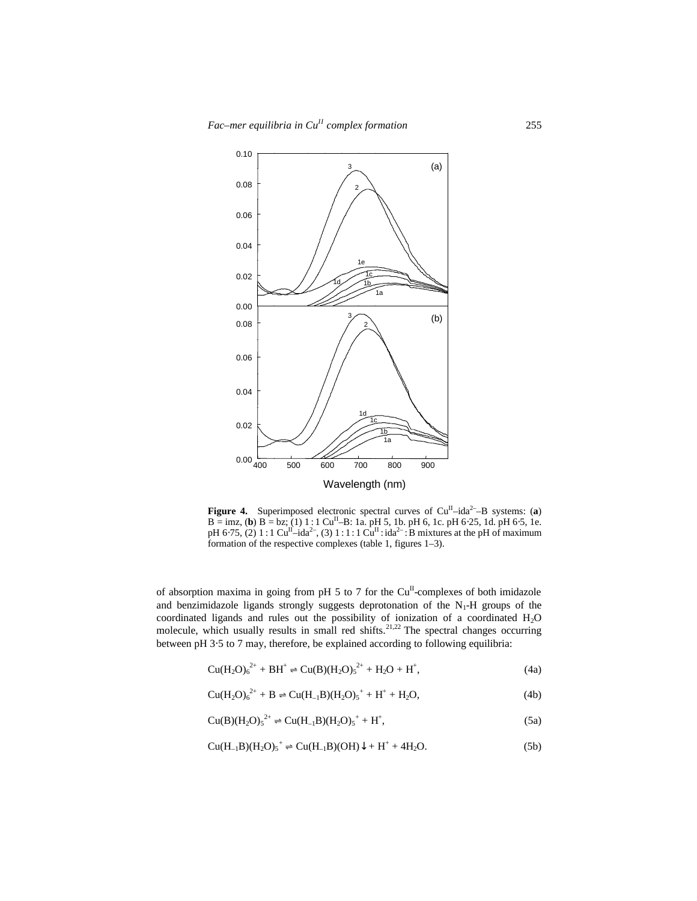

**Figure 4.** Superimposed electronic spectral curves of  $Cu^{II} - ida^{2-} - B$  systems: (**a**)  $B = imz$ , (**b**)  $B = bz$ ; (1) 1 : 1  $Cu^{II} - B$ : 1a. pH 5, 1b. pH 6, 1c. pH 6⋅25, 1d. pH 6⋅5, 1e. pH 6⋅75, (2) 1 : 1 Cu<sup>II</sup>-ida<sup>2-</sup>, (3) 1 : 1 : 1 Cu<sup>II</sup> : ida<sup>2-</sup> : B mixtures at the pH of maximum formation of the respective complexes (table 1, figures 1–3).

of absorption maxima in going from pH 5 to 7 for the  $Cu<sup>H</sup>$ -complexes of both imidazole and benzimidazole ligands strongly suggests deprotonation of the  $N_1$ -H groups of the coordinated ligands and rules out the possibility of ionization of a coordinated H<sub>2</sub>O molecule, which usually results in small red shifts.<sup>21,22</sup> The spectral changes occurring between pH 3⋅5 to 7 may, therefore, be explained according to following equilibria:

$$
Cu(H2O)62+ + BH+ \rightleftharpoons Cu(B)(H2O)52+ + H2O + H+,
$$
\n(4a)

$$
Cu(H2O)62+ + B \rightleftharpoons Cu(H-1B)(H2O)5+ + H+ + H2O,
$$
\n(4b)

$$
Cu(B)(H_2O)_5^{2+} \rightleftharpoons Cu(H_{-1}B)(H_2O)_5^{+} + H^+, \tag{5a}
$$

$$
Cu(H_{-1}B)(H_2O)_5^+ \rightleftharpoons Cu(H_{-1}B)(OH)\downarrow + H^+ + 4H_2O. \tag{5b}
$$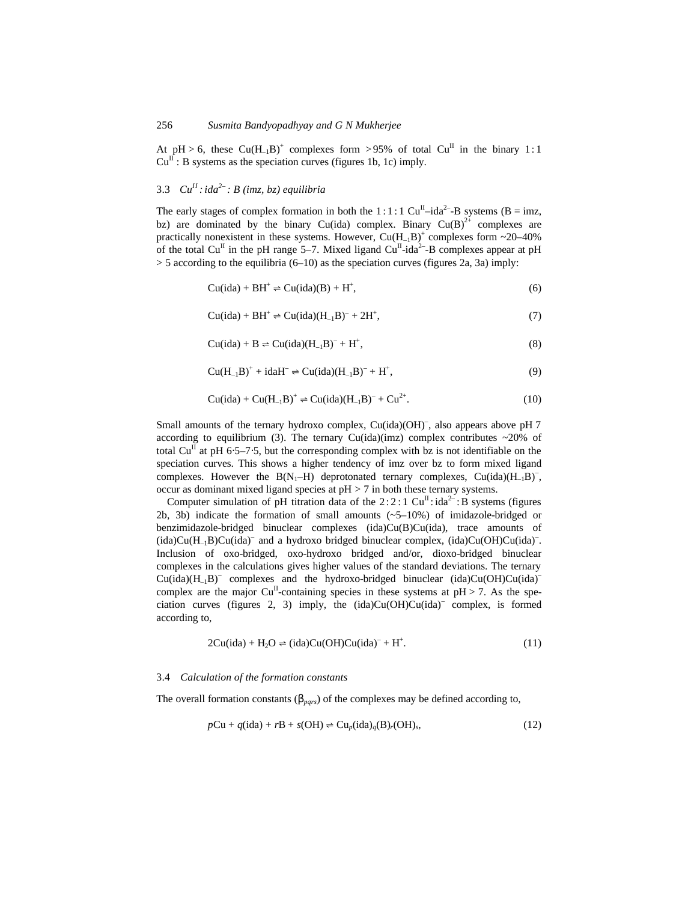At pH > 6, these  $Cu(H_{-1}B)^+$  complexes form > 95% of total  $Cu^{II}$  in the binary 1:1  $Cu^{II}$ : B systems as the speciation curves (figures 1b, 1c) imply.

### 3.3 *CuII :ida2– : B (imz, bz) equilibria*

The early stages of complex formation in both the 1:1:1 Cu<sup>II</sup>-ida<sup>2-</sup>-B systems (B = imz, bz) are dominated by the binary Cu(ida) complex. Binary Cu(B)<sup>2+</sup> complexes are practically nonexistent in these systems. However,  $Cu(H_{-1}B)^+$  complexes form ~20-40% of the total Cu<sup>II</sup> in the pH range 5–7. Mixed ligand Cu<sup>II</sup>-ida<sup>2</sup>-B complexes appear at pH  $>$  5 according to the equilibria (6–10) as the speciation curves (figures 2a, 3a) imply:

> $Cu(ida) + BH^+ \rightleftharpoons Cu(ida)(B) + H^+$  $\hspace{1.6cm}$ , (6)

$$
Cu(ida) + BH^+ \rightleftharpoons Cu(ida)(H_{-1}B)^- + 2H^+, \tag{7}
$$

$$
Cu(ida) + B \rightleftharpoons Cu(ida)(H_{-1}B)^{-} + H^{+},
$$
\n(8)

$$
Cu(H-1B)+ + idaH- \rightleftharpoons Cu(ida)(H-1B)- + H+,
$$
\n(9)

$$
Cu(ida) + Cu(H_{-1}B)^{+} \rightleftharpoons Cu(ida)(H_{-1}B)^{-} + Cu^{2+}.
$$
 (10)

Small amounts of the ternary hydroxo complex, Cu(ida)(OH)<sup>-</sup>, also appears above pH 7 according to equilibrium (3). The ternary Cu(ida)(imz) complex contributes  $\sim 20\%$  of total Cu<sup>II</sup> at pH 6⋅5–7⋅5, but the corresponding complex with bz is not identifiable on the speciation curves. This shows a higher tendency of imz over bz to form mixed ligand complexes. However the  $B(N_1-H)$  deprotonated ternary complexes,  $Cu(ida)(H_{-1}B)^{-}$ , occur as dominant mixed ligand species at pH > 7 in both these ternary systems.

Computer simulation of pH titration data of the  $2:2:1$  Cu<sup>II</sup>: ida<sup>2</sup> : B systems (figures 2b, 3b) indicate the formation of small amounts (~5–10%) of imidazole-bridged or benzimidazole-bridged binuclear complexes (ida)Cu(B)Cu(ida), trace amounts of (ida)Cu(H<sub>-1</sub>B)Cu(ida)<sup>-</sup> and a hydroxo bridged binuclear complex, (ida)Cu(OH)Cu(ida)<sup>-</sup>. Inclusion of oxo-bridged, oxo-hydroxo bridged and/or, dioxo-bridged binuclear complexes in the calculations gives higher values of the standard deviations. The ternary Cu(ida)(H–1B)– complexes and the hydroxo-bridged binuclear (ida)Cu(OH)Cu(ida)– complex are the major Cu<sup>II</sup>-containing species in these systems at  $pH > 7$ . As the speciation curves (figures 2, 3) imply, the (ida)Cu(OH)Cu(ida)– complex, is formed according to,

$$
2Cu(ida) + H_2O \rightleftharpoons (ida)Cu(OH)Cu(ida)- + H+.
$$
\n(11)

#### 3.4 *Calculation of the formation constants*

The overall formation constants  $(b<sub>pars</sub>)$  of the complexes may be defined according to,

$$
pCu + q(ida) + rB + s(OH) \rightleftharpoons Cup(ida)q(B)r(OH),
$$
\n(12)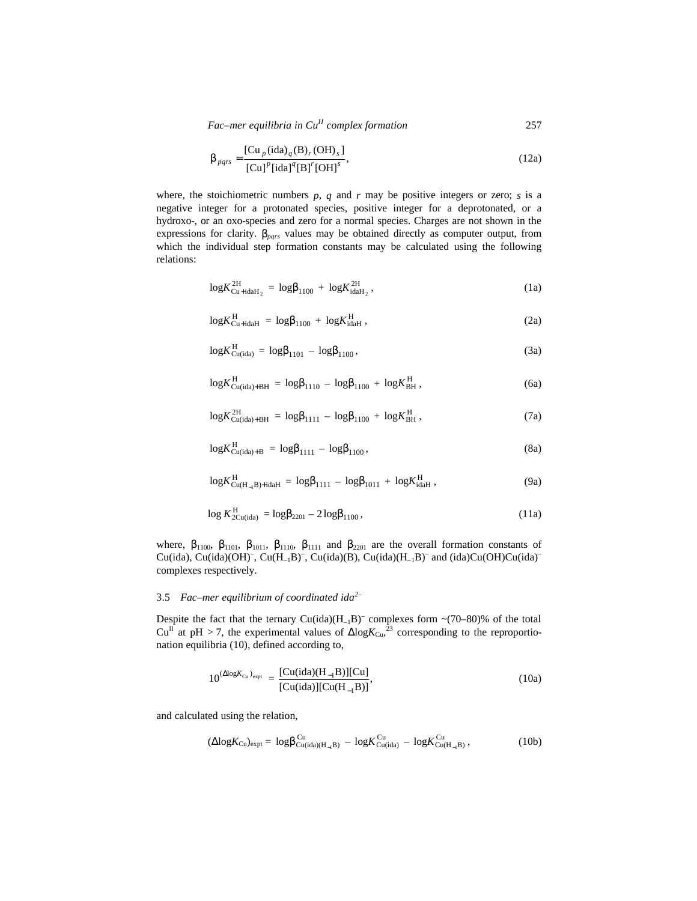*Fac–mer equilibria in CuII complex formation* 257

$$
\boldsymbol{b}_{pqrs} = \frac{[\text{Cu}_p(\text{ida})_q(\text{B})_r(\text{OH})_s]}{[\text{Cu}]^p[\text{ida}]^q[\text{B}]^r[\text{OH}]^s},\tag{12a}
$$

where, the stoichiometric numbers  $p$ ,  $q$  and  $r$  may be positive integers or zero;  $s$  is a negative integer for a protonated species, positive integer for a deprotonated, or a hydroxo-, or an oxo-species and zero for a normal species. Charges are not shown in the expressions for clarity. *bpqrs* values may be obtained directly as computer output, from which the individual step formation constants may be calculated using the following relations:

$$
\log K_{\text{Cu+idah}_2}^{\text{2H}} = \log b_{1100} + \log K_{\text{idah}_2}^{\text{2H}}, \tag{1a}
$$

$$
\log K_{\text{Cu+idal}}^{\text{H}} = \log b_{1100} + \log K_{\text{idal}}^{\text{H}} , \qquad (2a)
$$

$$
\log K_{\text{Cu(ida)}}^{\text{H}} = \log \bm{b}_{1101} - \log \bm{b}_{1100}, \qquad (3a)
$$

$$
\log K_{\text{Cu}(\text{ida})+BH}^{\text{H}} = \log \bm{b}_{1110} - \log \bm{b}_{1100} + \log K_{\text{BH}}^{\text{H}} , \qquad (6a)
$$

$$
\log K_{\text{Cu(ida)} + \text{BH}}^{\text{2H}} = \log \bm{b}_{1111} - \log \bm{b}_{1100} + \log K_{\text{BH}}^{\text{H}} \,, \tag{7a}
$$

$$
\log K_{\text{Cu}(ida)+B}^{\text{H}} = \log \bm{b}_{1111} - \log \bm{b}_{1100}, \tag{8a}
$$

$$
\log K_{\text{Cu}(H_{-1}B)+\text{idal}}^{\text{H}} = \log b_{1111} - \log b_{1011} + \log K_{\text{idal}}^{\text{H}}, \tag{9a}
$$

$$
\log K_{2\text{Cu}(ida)}^{\text{H}} = \log \bm{b}_{2201} - 2\log \bm{b}_{1100},\tag{11a}
$$

where,  $\mathbf{b}_{1100}$ ,  $\mathbf{b}_{1101}$ ,  $\mathbf{b}_{1011}$ ,  $\mathbf{b}_{1110}$ ,  $\mathbf{b}_{1111}$  and  $\mathbf{b}_{2201}$  are the overall formation constants of Cu(ida), Cu(ida)(OH)<sup>-</sup>, Cu(H<sub>-1</sub>B)<sup>-</sup>, Cu(ida)(B), Cu(ida)(H<sub>-1</sub>B)<sup>-</sup> and (ida)Cu(OH)Cu(ida)<sup>-</sup> complexes respectively.

## 3.5 *Fac–mer equilibrium of coordinated ida2–*

Despite the fact that the ternary  $Cu(ida)(H_{-1}B)^{-}$  complexes form  $\sim$ (70–80)% of the total Cu<sup>II</sup> at pH > 7, the experimental values of  $\Delta$ log $K_{Cu}$ ,<sup>23</sup> corresponding to the reproportionation equilibria (10), defined according to,

$$
10^{(\Delta log K_{Cu})_{expt}} = \frac{[Cu(ida)(H_{-1}B)][Cu]}{[Cu(ida)][Cu(H_{-1}B)]},
$$
\n(10a)

and calculated using the relation,

$$
(\Delta log K_{Cu})_{expt} = log \bm{b}_{Cu(ida)(H_{-1}B)}^{Cu} - log K_{Cu(ida)}^{Cu} - log K_{Cu(H_{-1}B)}^{Cu}, \qquad (10b)
$$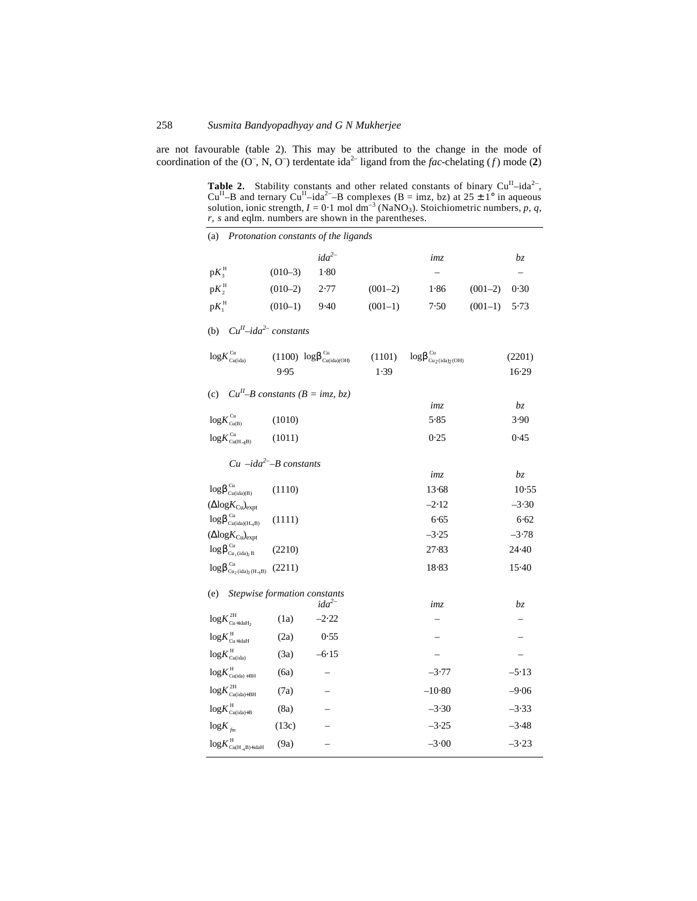are not favourable (table 2). This may be attributed to the change in the mode of coordination of the  $(0^-, N, 0^+)$  terdentate ida<sup>2-</sup> ligand from the *fac*-chelating (*f*) mode (**2**)

**Table 2.** Stability constants and other related constants of binary  $Cu^{II}$ —ida<sup>2–</sup>,  $Cu^{II}$ —ida<sup>2–</sup>–B complexes (B = imz, bz) at 25 ± 1° in aqueous solution, ionic strength,  $I = 0.1$  mol dm<sup>-3</sup> (NaNO<sub>3</sub>). Stoichiometric numbers, p, q, *r*, *s* and eqlm. numbers are shown in the parentheses.

| (a)                                                                           | Protonation constants of the ligands                                      |           |                                                  |           |                                                                                   |           |                   |  |  |  |  |
|-------------------------------------------------------------------------------|---------------------------------------------------------------------------|-----------|--------------------------------------------------|-----------|-----------------------------------------------------------------------------------|-----------|-------------------|--|--|--|--|
|                                                                               |                                                                           |           | ida <sup>2–</sup>                                |           | imz                                                                               |           | bz                |  |  |  |  |
| $\mathbf{p}{K}_{\scriptscriptstyle{3}}^{\scriptscriptstyle{\mathrm{H}}}$      |                                                                           | $(010-3)$ | $1-80$                                           |           | $\qquad \qquad -$                                                                 |           |                   |  |  |  |  |
| $pK_2^H$                                                                      |                                                                           | $(010-2)$ | 2.77                                             | $(001-2)$ | 1.86                                                                              | $(001-2)$ | 0.30              |  |  |  |  |
| $\mathrm{p}{K_{\scriptscriptstyle\mathrm{1}}^{\scriptscriptstyle\mathrm{H}}}$ |                                                                           | $(010-1)$ | 9.40                                             | $(001-1)$ | 7.50                                                                              | $(001-1)$ | 5.73              |  |  |  |  |
| $CuH$ -ida <sup>2-</sup> constants<br>(b)                                     |                                                                           |           |                                                  |           |                                                                                   |           |                   |  |  |  |  |
|                                                                               | $\mbox{log}K_{\mbox{\tiny{Cu} (ida)}}^{\mbox{\tiny{Cu}}}$                 |           | $(1100) \log b_{\text{Cu(ida)(OH)}}^{\text{Cu}}$ | (1101)    | $\log \pmb{b}^{\,\mathrm{Cu}}_{\,\mathrm{Cu_2}\,(\mathrm{ida})_2\,(\mathrm{OH})}$ |           | (2201)            |  |  |  |  |
|                                                                               |                                                                           | 9.95      |                                                  | 1.39      |                                                                                   |           | 16.29             |  |  |  |  |
| (c) $Cu^{II}-B$ constants ( $B = imz, bz$ )                                   |                                                                           |           |                                                  |           |                                                                                   |           |                   |  |  |  |  |
|                                                                               |                                                                           |           |                                                  |           | imz                                                                               |           | bz                |  |  |  |  |
| $logK^{\text{Cu}}_{\text{Cu(B)}}$                                             |                                                                           | (1010)    |                                                  |           | 5.85                                                                              |           | 3.90              |  |  |  |  |
|                                                                               | $\log\!K_{\text{Cu(H$\;\!\!\!\!\!\!-$1$}B)}^{\text{Cu}}$                  | (1011)    |                                                  |           | 0.25                                                                              |           | 0.45              |  |  |  |  |
| $Cu -ida2-B constants$                                                        |                                                                           |           |                                                  |           |                                                                                   |           |                   |  |  |  |  |
|                                                                               |                                                                           |           |                                                  |           | imz                                                                               |           | $b\boldsymbol{z}$ |  |  |  |  |
|                                                                               | $\log \pmb{b}^{\rm Cu}_{\rm Cu (ida)(B)}$                                 | (1110)    |                                                  |           | 13.68                                                                             |           | 10.55             |  |  |  |  |
|                                                                               | $(\Delta$ log $K_{Cu}$ <sub>cu</sub> $)$ <sub>expt</sub>                  |           |                                                  |           | $-2.12$                                                                           |           | $-3.30$           |  |  |  |  |
|                                                                               | $\log \pmb{b}^{\,\mathrm{Cu}}_{\,\mathrm{Cu}(\mathrm{ida})(H_{\!-\!1}B)}$ | (1111)    |                                                  |           | 6.65                                                                              |           | 6.62              |  |  |  |  |
|                                                                               | $(\Delta$ log $K_{Cu}$ <sub>cu</sub> $)$ <sub>expt</sub>                  |           |                                                  |           | $-3.25$                                                                           |           | $-3.78$           |  |  |  |  |
|                                                                               | $\log \pmb{b}^{\rm Cu}_{\rm Cu_2 (ida)_2\, B}$                            | (2210)    |                                                  |           | 27.83                                                                             |           | 24.40             |  |  |  |  |
|                                                                               | $\log \pmb{b}^{\rm Cu}_{\rm Cu_2 (ida)_2 (H_{-1}B)}$                      | (2211)    |                                                  |           | 18.83                                                                             |           | $15-40$           |  |  |  |  |
|                                                                               | (e) Stepwise formation constants                                          |           | ida <sup>2</sup>                                 |           |                                                                                   |           | bz.               |  |  |  |  |
|                                                                               | $\log\!K_{\text{Cu+idal}_2}^{\text{2H}}$                                  | (1a)      | $-2.22$                                          |           | imz                                                                               |           |                   |  |  |  |  |
|                                                                               | $\log\!K_{\text{Cu+idal}}^\text{H}$                                       |           |                                                  |           |                                                                                   |           |                   |  |  |  |  |
|                                                                               |                                                                           | (2a)      | 0.55                                             |           |                                                                                   |           |                   |  |  |  |  |
|                                                                               | $\log\!K_{\text{Cu(ida)}}^{\text{H}}$                                     | (3a)      | $-6.15$                                          |           |                                                                                   |           |                   |  |  |  |  |
|                                                                               | $\log\!K_{\text{Cu(ida)+BH}}^\text{H}$                                    | (6a)      |                                                  |           | $-3.77$                                                                           |           | $-5.13$           |  |  |  |  |
|                                                                               | $\log\!K_{\text{Cu(ida)}+\text{BH}}^{\text{2H}}$                          | (7a)      |                                                  |           | $-10.80$                                                                          |           | $-9.06$           |  |  |  |  |
|                                                                               | $\log\!K_{\text{Cu(ida)}\!+\!B}^{\mathrm{H}}$                             | (8a)      |                                                  |           | $-3.30$                                                                           |           | $-3.33$           |  |  |  |  |
| $\log K$ <sub>fm</sub>                                                        |                                                                           | (13c)     |                                                  |           | $-3.25$                                                                           |           | $-3.48$           |  |  |  |  |
|                                                                               | $\log\textit{K}^{\,\mathrm{H}}_{\mathrm{Cu(H_{-I}B)+idaH}}$               | (9a)      |                                                  |           | $-3.00$                                                                           |           | $-3.23$           |  |  |  |  |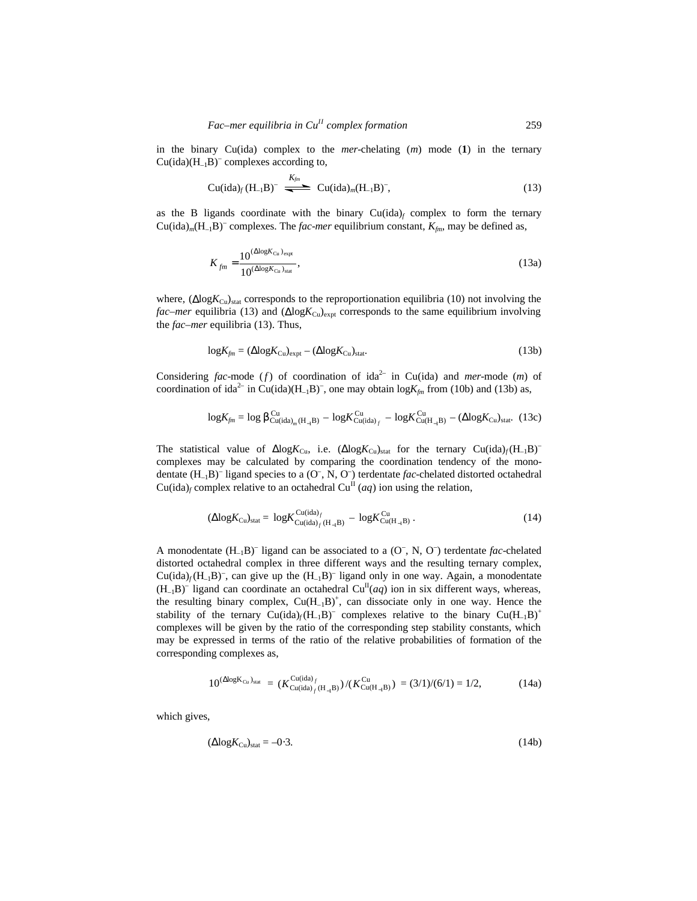in the binary Cu(ida) complex to the *mer*-chelating (*m*) mode (**1**) in the ternary  $Cu(ida)(H_{-1}B)^-$  complexes according to,

$$
\text{Cu}(\text{ida})_f(\text{H}_{-1}\text{B})^- \xrightarrow{\text{K}_{fin}} \text{Cu}(\text{ida})_m(\text{H}_{-1}\text{B})^-, \tag{13}
$$

as the B ligands coordinate with the binary  $Cu(ida)_f$  complex to form the ternary  $Cu(ida)<sub>m</sub>(H<sub>-1</sub>B)<sup>-</sup> complexes. The fac-*mer* equilibrium constant,  $K_{fin}$ , may be defined as,$ 

$$
K_{fm} = \frac{10^{(\Delta \log K_{Cu})_{\text{expt}}}}{10^{(\Delta \log K_{Cu})_{\text{stat}}}},
$$
(13a)

where,  $(\Delta log K_{Cu})_{stat}$  corresponds to the reproportionation equilibria (10) not involving the *fac–mer* equilibria (13) and ( $ΔlogK<sub>Cu</sub>$ )<sub>expt</sub> corresponds to the same equilibrium involving the *fac*–*mer* equilibria (13). Thus,

$$
\log K_{\text{fm}} = (\Delta \log K_{\text{Cu}})_{\text{expt}} - (\Delta \log K_{\text{Cu}})_{\text{stat}}.\tag{13b}
$$

Considering *fac*-mode (*f*) of coordination of ida<sup>2-</sup> in Cu(ida) and *mer*-mode (*m*) of coordination of ida<sup>2-</sup> in Cu(ida)( $H_{-1}B$ )<sup>-</sup>, one may obtain  $log K_{fm}$  from (10b) and (13b) as,

$$
\log K_{\text{fin}} = \log \boldsymbol{b}_{\text{Cu}(ida)_m(H_{-1}B)}^{\text{Cu}} - \log K_{\text{Cu}(ida)_f}^{\text{Cu}} - \log K_{\text{Cu}(H_{-1}B)}^{\text{Cu}} - (\Delta \log K_{\text{Cu}})_{\text{stat}}. (13c)
$$

The statistical value of  $\Delta$ log $K_{Cu}$ , i.e.  $(\Delta$ log $K_{Cu})_{stat}$  for the ternary  $Cu(ida)_f(H_{-1}B)^{-1}$ complexes may be calculated by comparing the coordination tendency of the monodentate (H<sub>-1</sub>B)<sup>-</sup> ligand species to a (O<sup>-</sup>, N, O<sup>-</sup>) terdentate *fac*-chelated distorted octahedral  $Cu(ida)<sub>f</sub> complex relative to an octahedral Cu<sup>II</sup> (aq) ion using the relation,$ 

$$
(\Delta \log K_{\text{Cu}})_{\text{stat}} = \log K_{\text{Cu}(\text{ida})_{f}(\text{H}_{-1}\text{B})}^{\text{Cu}} - \log K_{\text{Cu}(\text{H}_{-1}\text{B})}^{\text{Cu}}.
$$
\n(14)

A monodentate  $(H_{-1}B)^{-}$  ligand can be associated to a  $(O^-, N, O^-)$  terdentate *fac*-chelated distorted octahedral complex in three different ways and the resulting ternary complex,  $Cu(ida)_{f}(H_{-1}B)^{-}$ , can give up the  $(H_{-1}B)^{-}$  ligand only in one way. Again, a monodentate  $(H_{-1}B)^{-}$  ligand can coordinate an octahedral  $Cu^{II}(aq)$  ion in six different ways, whereas, the resulting binary complex,  $Cu(H_{-1}B)^{+}$ , can dissociate only in one way. Hence the stability of the ternary  $Cu(ida)_f(H_{-1}B)^-$  complexes relative to the binary  $Cu(H_{-1}B)^+$ complexes will be given by the ratio of the corresponding step stability constants, which may be expressed in terms of the ratio of the relative probabilities of formation of the corresponding complexes as,

$$
10^{(\Delta \log K_{Cu})_{stat}} = (K_{Cu(ida)_{f}(H_{-1}B)}^{Cu(ida)_{f}})/(K_{Cu(H_{-1}B)}^{Cu}) = (3/1)/(6/1) = 1/2,
$$
 (14a)

which gives,

$$
(\Delta \log K_{\rm Cu})_{\rm stat} = -0.3. \tag{14b}
$$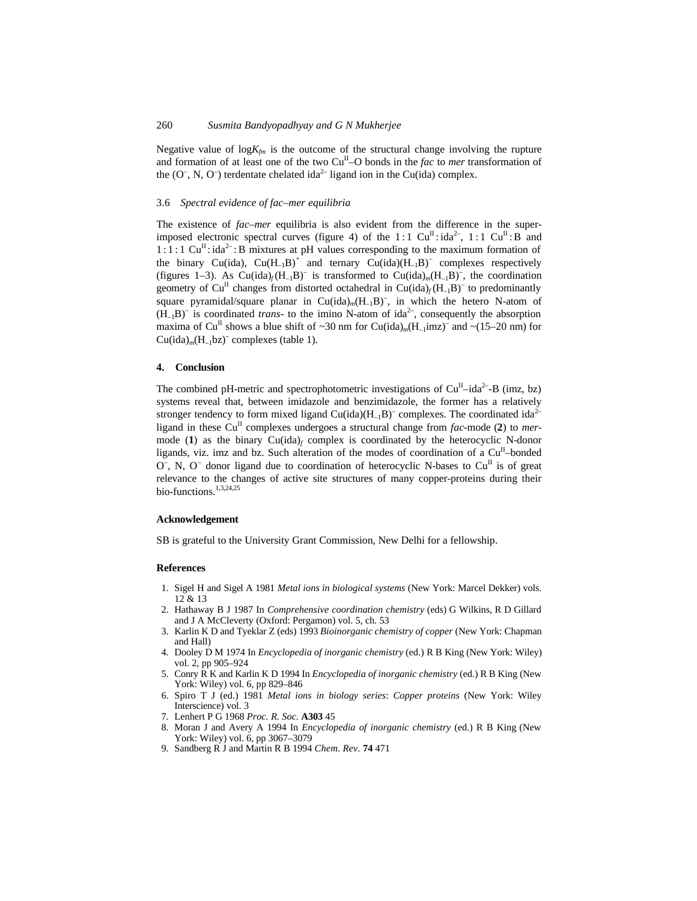Negative value of  $log K_{fm}$  is the outcome of the structural change involving the rupture and formation of at least one of the two Cu<sup>II</sup>-O bonds in the *fac* to *mer* transformation of the  $(O^-, N, O^-)$  terdentate chelated ida<sup>2–</sup> ligand ion in the Cu(ida) complex.

#### 3.6 *Spectral evidence of fac–mer equilibria*

The existence of *fac–mer* equilibria is also evident from the difference in the superimposed electronic spectral curves (figure 4) of the 1:1  $Cu<sup>H</sup>$ : ida<sup>2-</sup>, 1:1  $Cu<sup>H</sup>$ : B and  $1:1:1 \text{ Cu}^{\text{II}}$ : ida<sup>2-</sup>: B mixtures at pH values corresponding to the maximum formation of the binary Cu(ida),  $Cu(H_{-1}B)^+$  and ternary  $Cu(ida)(H_{-1}B)^-$  complexes respectively (figures 1–3). As Cu(ida)<sub>f</sub>(H<sub>-1</sub>B)<sup>-</sup> is transformed to Cu(ida)<sub>m</sub>(H<sub>-1</sub>B)<sup>-</sup>, the coordination geometry of Cu<sup>II</sup> changes from distorted octahedral in Cu(ida)<sub>f</sub>(H<sub>-1</sub>B)<sup>-</sup> to predominantly square pyramidal/square planar in Cu(ida)<sub>m</sub>(H<sub>-1</sub>B)<sup>-</sup>, in which the hetero N-atom of  $(H_{-1}B)^{-}$  is coordinated *trans*- to the imino N-atom of ida<sup>2-</sup>, consequently the absorption maxima of Cu<sup>II</sup> shows a blue shift of  $\sim 30$  nm for Cu(ida)<sub>*m*</sub>(H<sub>-1</sub>imz)<sup>-</sup> and  $\sim$ (15–20 nm) for  $Cu(ida)<sub>m</sub>(H<sub>-1</sub>bz)<sup>-</sup> complexes (table 1).$ 

### **4. Conclusion**

The combined pH-metric and spectrophotometric investigations of  $Cu<sup>H</sup>$ -ida<sup>2-</sup>-B (imz, bz) systems reveal that, between imidazole and benzimidazole, the former has a relatively stronger tendency to form mixed ligand  $Cu(ida)(H<sub>-1</sub>B)<sup>-</sup>$  complexes. The coordinated ida<sup>2-</sup> ligand in these  $Cu<sup>H</sup>$  complexes undergoes a structural change from *fac*-mode (2) to *mer*mode (1) as the binary  $Cu(ida)_f$  complex is coordinated by the heterocyclic N-donor ligands, viz. imz and bz. Such alteration of the modes of coordination of a Cu<sup>II</sup>-bonded  $O^-$ , N,  $O^-$  donor ligand due to coordination of heterocyclic N-bases to  $Cu<sup>\Pi</sup>$  is of great relevance to the changes of active site structures of many copper-proteins during their bio-functions.<sup>1,3,24,25</sup>

### **Acknowledgement**

SB is grateful to the University Grant Commission, New Delhi for a fellowship.

### **References**

- 1. Sigel H and Sigel A 1981 *Metal ions in biological systems* (New York: Marcel Dekker) vols. 12 & 13
- 2. Hathaway B J 1987 In *Comprehensive coordination chemistry* (eds) G Wilkins, R D Gillard and J A McCleverty (Oxford: Pergamon) vol. 5, ch. 53
- 3. Karlin K D and Tyeklar Z (eds) 1993 *Bioinorganic chemistry of copper* (New York: Chapman and Hall)
- 4. Dooley D M 1974 In *Encyclopedia of inorganic chemistry* (ed.) R B King (New York: Wiley) vol. 2, pp 905–924
- 5. Conry R K and Karlin K D 1994 In *Encyclopedia of inorganic chemistry* (ed.) R B King (New York: Wiley) vol. 6, pp 829–846
- 6. Spiro T J (ed.) 1981 *Metal ions in biology series*: *Copper proteins* (New York: Wiley Interscience) vol. 3
- 7. Lenhert P G 1968 *Proc. R. Soc.* **A303** 45
- 8. Moran J and Avery A 1994 In *Encyclopedia of inorganic chemistry* (ed.) R B King (New York: Wiley) vol. 6, pp 3067–3079
- 9. Sandberg R J and Martin R B 1994 *Chem. Rev*. **74** 471